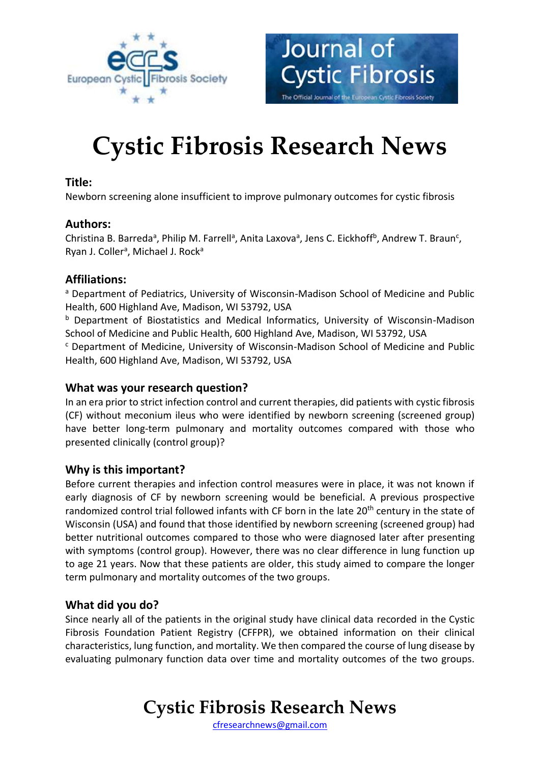

# **Cystic Fibrosis Research News**

Journal of

**Cystic Fibrosis** 

The Official Journal of the European Cystic Fibrosis Society

### **Title:**

Newborn screening alone insufficient to improve pulmonary outcomes for cystic fibrosis

### **Authors:**

Christina B. Barreda<sup>a</sup>, Philip M. Farrell<sup>a</sup>, Anita Laxova<sup>a</sup>, Jens C. Eickhoff<sup>b</sup>, Andrew T. Braun<sup>c</sup>, Ryan J. Coller<sup>a</sup>, Michael J. Rock<sup>a</sup>

### **Affiliations:**

<sup>a</sup> Department of Pediatrics, University of Wisconsin-Madison School of Medicine and Public Health, 600 Highland Ave, Madison, WI 53792, USA

b Department of Biostatistics and Medical Informatics, University of Wisconsin-Madison School of Medicine and Public Health, 600 Highland Ave, Madison, WI 53792, USA

<sup>c</sup> Department of Medicine, University of Wisconsin-Madison School of Medicine and Public Health, 600 Highland Ave, Madison, WI 53792, USA

### **What was your research question?**

In an era prior to strict infection control and current therapies, did patients with cystic fibrosis (CF) without meconium ileus who were identified by newborn screening (screened group) have better long-term pulmonary and mortality outcomes compared with those who presented clinically (control group)?

### **Why is this important?**

Before current therapies and infection control measures were in place, it was not known if early diagnosis of CF by newborn screening would be beneficial. A previous prospective randomized control trial followed infants with CF born in the late 20<sup>th</sup> century in the state of Wisconsin (USA) and found that those identified by newborn screening (screened group) had better nutritional outcomes compared to those who were diagnosed later after presenting with symptoms (control group). However, there was no clear difference in lung function up to age 21 years. Now that these patients are older, this study aimed to compare the longer term pulmonary and mortality outcomes of the two groups.

### **What did you do?**

Since nearly all of the patients in the original study have clinical data recorded in the Cystic Fibrosis Foundation Patient Registry (CFFPR), we obtained information on their clinical characteristics, lung function, and mortality. We then compared the course of lung disease by evaluating pulmonary function data over time and mortality outcomes of the two groups.

### **Cystic Fibrosis Research News**

[cfresearchnews@gmail.com](mailto:cfresearchnews@gmail.com)